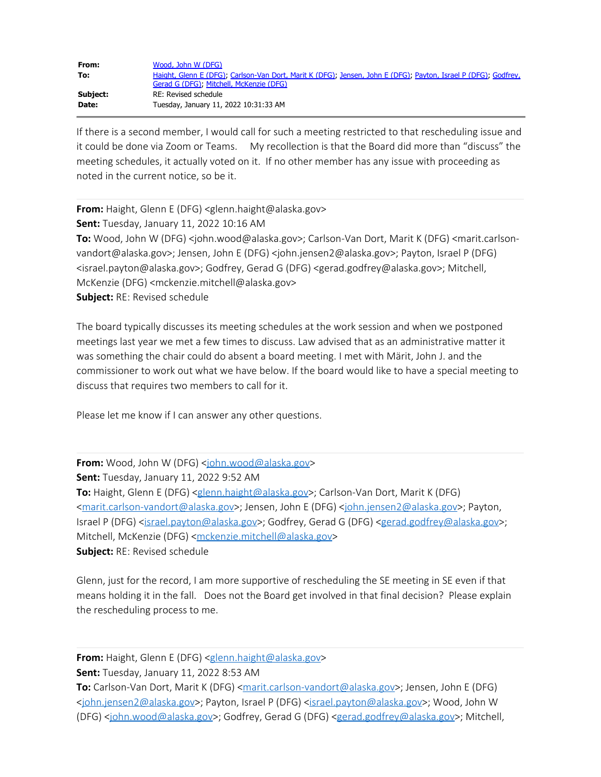| From:    | Wood, John W (DFG)                                                                                             |
|----------|----------------------------------------------------------------------------------------------------------------|
| To:      | Haight, Glenn E (DFG); Carlson-Van Dort, Marit K (DFG); Jensen, John E (DFG); Payton, Israel P (DFG); Godfrey, |
|          | Gerad G (DFG), Mitchell, McKenzie (DFG)                                                                        |
| Subject: | RE: Revised schedule                                                                                           |
| Date:    | Tuesday, January 11, 2022 10:31:33 AM                                                                          |

If there is a second member, I would call for such a meeting restricted to that rescheduling issue and it could be done via Zoom or Teams. My recollection is that the Board did more than "discuss" the meeting schedules, it actually voted on it. If no other member has any issue with proceeding as noted in the current notice, so be it.

**From:** Haight, Glenn E (DFG) <glenn.haight@alaska.gov> **Sent:** Tuesday, January 11, 2022 10:16 AM **To:** Wood, John W (DFG) <john.wood@alaska.gov>; Carlson-Van Dort, Marit K (DFG) <marit.carlsonvandort@alaska.gov>; Jensen, John E (DFG) <john.jensen2@alaska.gov>; Payton, Israel P (DFG) <israel.payton@alaska.gov>; Godfrey, Gerad G (DFG) <gerad.godfrey@alaska.gov>; Mitchell, McKenzie (DFG) <mckenzie.mitchell@alaska.gov> **Subject:** RE: Revised schedule

The board typically discusses its meeting schedules at the work session and when we postponed meetings last year we met a few times to discuss. Law advised that as an administrative matter it was something the chair could do absent a board meeting. I met with Märit, John J. and the commissioner to work out what we have below. If the board would like to have a special meeting to discuss that requires two members to call for it.

Please let me know if I can answer any other questions.

**From:** Wood, John W (DFG) <[john.wood@alaska.gov](mailto:john.wood@alaska.gov)> **Sent:** Tuesday, January 11, 2022 9:52 AM To: Haight, Glenn E (DFG) [<glenn.haight@alaska.gov](mailto:glenn.haight@alaska.gov)>; Carlson-Van Dort, Marit K (DFG) [<marit.carlson-vandort@alaska.gov](mailto:marit.carlson-vandort@alaska.gov)>; Jensen, John E (DFG) [<john.jensen2@alaska.gov](mailto:john.jensen2@alaska.gov)>; Payton, Israel P (DFG) [<israel.payton@alaska.gov>](mailto:israel.payton@alaska.gov); Godfrey, Gerad G (DFG) <[gerad.godfrey@alaska.gov](mailto:gerad.godfrey@alaska.gov)>; Mitchell, McKenzie (DFG) [<mckenzie.mitchell@alaska.gov](mailto:mckenzie.mitchell@alaska.gov)> **Subject:** RE: Revised schedule

Glenn, just for the record, I am more supportive of rescheduling the SE meeting in SE even if that means holding it in the fall. Does not the Board get involved in that final decision? Please explain the rescheduling process to me.

**From:** Haight, Glenn E (DFG) [<glenn.haight@alaska.gov>](mailto:glenn.haight@alaska.gov)

**Sent:** Tuesday, January 11, 2022 8:53 AM

To: Carlson-Van Dort, Marit K (DFG) [<marit.carlson-vandort@alaska.gov](mailto:marit.carlson-vandort@alaska.gov)>; Jensen, John E (DFG) [<john.jensen2@alaska.gov](mailto:john.jensen2@alaska.gov)>; Payton, Israel P (DFG) [<israel.payton@alaska.gov](mailto:israel.payton@alaska.gov)>; Wood, John W (DFG) <[john.wood@alaska.gov](mailto:john.wood@alaska.gov)>; Godfrey, Gerad G (DFG) [<gerad.godfrey@alaska.gov](mailto:gerad.godfrey@alaska.gov)>; Mitchell,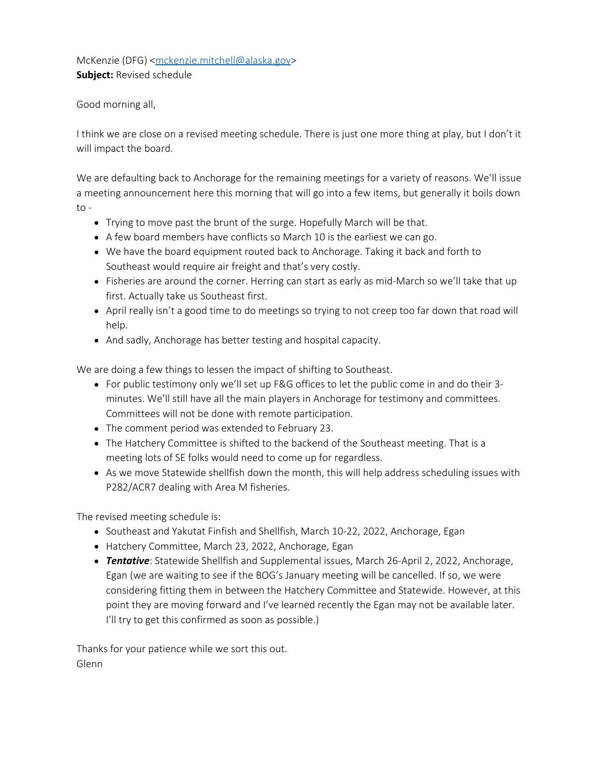McKenzie (DFG) [<mckenzie.mitchell@alaska.gov](mailto:mckenzie.mitchell@alaska.gov)> **Subject:** Revised schedule

Good morning all,

I think we are close on a revised meeting schedule. There is just one more thing at play, but I don't it will impact the board.

We are defaulting back to Anchorage for the remaining meetings for a variety of reasons. We'll issue a meeting announcement here this morning that will go into a few items, but generally it boils down  $to -$ 

- Trying to move past the brunt of the surge. Hopefully March will be that.
- A few board members have conflicts so March 10 is the earliest we can go.
- We have the board equipment routed back to Anchorage. Taking it back and forth to Southeast would require air freight and that's very costly.
- Fisheries are around the corner. Herring can start as early as mid-March so we'll take that up first. Actually take us Southeast first.
- April really isn't a good time to do meetings so trying to not creep too far down that road will help.
- And sadly, Anchorage has better testing and hospital capacity.

We are doing a few things to lessen the impact of shifting to Southeast.

- For public testimony only we'll set up F&G offices to let the public come in and do their 3 minutes. We'll still have all the main players in Anchorage for testimony and committees. Committees will not be done with remote participation.
- The comment period was extended to February 23.
- The Hatchery Committee is shifted to the backend of the Southeast meeting. That is a meeting lots of SE folks would need to come up for regardless.
- As we move Statewide shellfish down the month, this will help address scheduling issues with P282/ACR7 dealing with Area M fisheries.

The revised meeting schedule is:

- Southeast and Yakutat Finfish and Shellfish, March 10-22, 2022, Anchorage, Egan
- Hatchery Committee, March 23, 2022, Anchorage, Egan
- *Tentative*: Statewide Shellfish and Supplemental issues, March 26-April 2, 2022, Anchorage, Egan (we are waiting to see if the BOG's January meeting will be cancelled. If so, we were considering fitting them in between the Hatchery Committee and Statewide. However, at this point they are moving forward and I've learned recently the Egan may not be available later. I'll try to get this confirmed as soon as possible.)

Thanks for your patience while we sort this out. Glenn